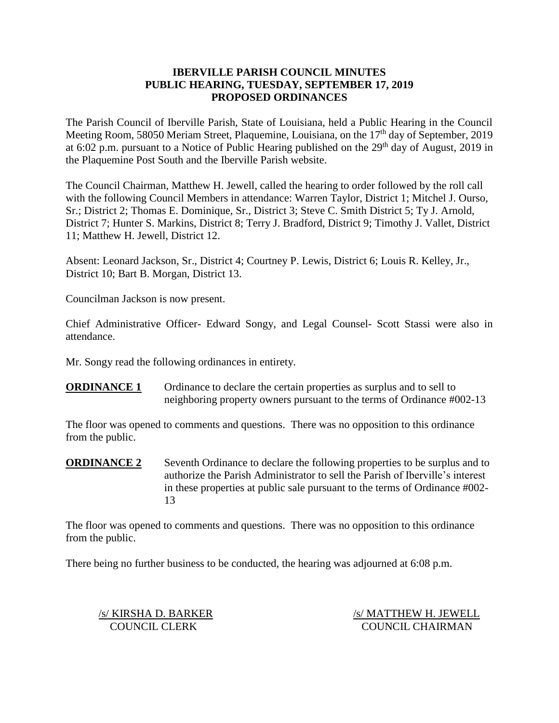## **IBERVILLE PARISH COUNCIL MINUTES PUBLIC HEARING, TUESDAY, SEPTEMBER 17, 2019 PROPOSED ORDINANCES**

The Parish Council of Iberville Parish, State of Louisiana, held a Public Hearing in the Council Meeting Room, 58050 Meriam Street, Plaquemine, Louisiana, on the 17<sup>th</sup> day of September, 2019 at 6:02 p.m. pursuant to a Notice of Public Hearing published on the  $29<sup>th</sup>$  day of August, 2019 in the Plaquemine Post South and the Iberville Parish website.

The Council Chairman, Matthew H. Jewell, called the hearing to order followed by the roll call with the following Council Members in attendance: Warren Taylor, District 1; Mitchel J. Ourso, Sr.; District 2; Thomas E. Dominique, Sr., District 3; Steve C. Smith District 5; Ty J. Arnold, District 7; Hunter S. Markins, District 8; Terry J. Bradford, District 9; Timothy J. Vallet, District 11; Matthew H. Jewell, District 12.

Absent: Leonard Jackson, Sr., District 4; Courtney P. Lewis, District 6; Louis R. Kelley, Jr., District 10; Bart B. Morgan, District 13.

Councilman Jackson is now present.

Chief Administrative Officer- Edward Songy, and Legal Counsel- Scott Stassi were also in attendance.

Mr. Songy read the following ordinances in entirety.

**ORDINANCE 1** Ordinance to declare the certain properties as surplus and to sell to neighboring property owners pursuant to the terms of Ordinance #002-13

The floor was opened to comments and questions. There was no opposition to this ordinance from the public.

**ORDINANCE 2** Seventh Ordinance to declare the following properties to be surplus and to authorize the Parish Administrator to sell the Parish of Iberville's interest in these properties at public sale pursuant to the terms of Ordinance #002- 13

The floor was opened to comments and questions. There was no opposition to this ordinance from the public.

There being no further business to be conducted, the hearing was adjourned at 6:08 p.m.

/s/ KIRSHA D. BARKER /s/ MATTHEW H. JEWELL COUNCIL CLERK COUNCIL CHAIRMAN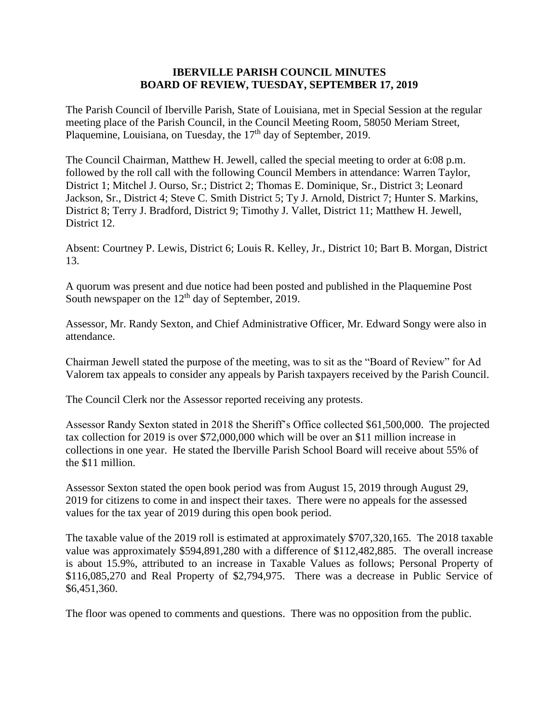#### **IBERVILLE PARISH COUNCIL MINUTES BOARD OF REVIEW, TUESDAY, SEPTEMBER 17, 2019**

The Parish Council of Iberville Parish, State of Louisiana, met in Special Session at the regular meeting place of the Parish Council, in the Council Meeting Room, 58050 Meriam Street, Plaquemine, Louisiana, on Tuesday, the 17<sup>th</sup> day of September, 2019.

The Council Chairman, Matthew H. Jewell, called the special meeting to order at 6:08 p.m. followed by the roll call with the following Council Members in attendance: Warren Taylor, District 1; Mitchel J. Ourso, Sr.; District 2; Thomas E. Dominique, Sr., District 3; Leonard Jackson, Sr., District 4; Steve C. Smith District 5; Ty J. Arnold, District 7; Hunter S. Markins, District 8; Terry J. Bradford, District 9; Timothy J. Vallet, District 11; Matthew H. Jewell, District 12.

Absent: Courtney P. Lewis, District 6; Louis R. Kelley, Jr., District 10; Bart B. Morgan, District 13.

A quorum was present and due notice had been posted and published in the Plaquemine Post South newspaper on the  $12<sup>th</sup>$  day of September, 2019.

Assessor, Mr. Randy Sexton, and Chief Administrative Officer, Mr. Edward Songy were also in attendance.

Chairman Jewell stated the purpose of the meeting, was to sit as the "Board of Review" for Ad Valorem tax appeals to consider any appeals by Parish taxpayers received by the Parish Council.

The Council Clerk nor the Assessor reported receiving any protests.

Assessor Randy Sexton stated in 2018 the Sheriff's Office collected \$61,500,000. The projected tax collection for 2019 is over \$72,000,000 which will be over an \$11 million increase in collections in one year. He stated the Iberville Parish School Board will receive about 55% of the \$11 million.

Assessor Sexton stated the open book period was from August 15, 2019 through August 29, 2019 for citizens to come in and inspect their taxes. There were no appeals for the assessed values for the tax year of 2019 during this open book period.

The taxable value of the 2019 roll is estimated at approximately \$707,320,165. The 2018 taxable value was approximately \$594,891,280 with a difference of \$112,482,885. The overall increase is about 15.9%, attributed to an increase in Taxable Values as follows; Personal Property of \$116,085,270 and Real Property of \$2,794,975. There was a decrease in Public Service of \$6,451,360.

The floor was opened to comments and questions. There was no opposition from the public.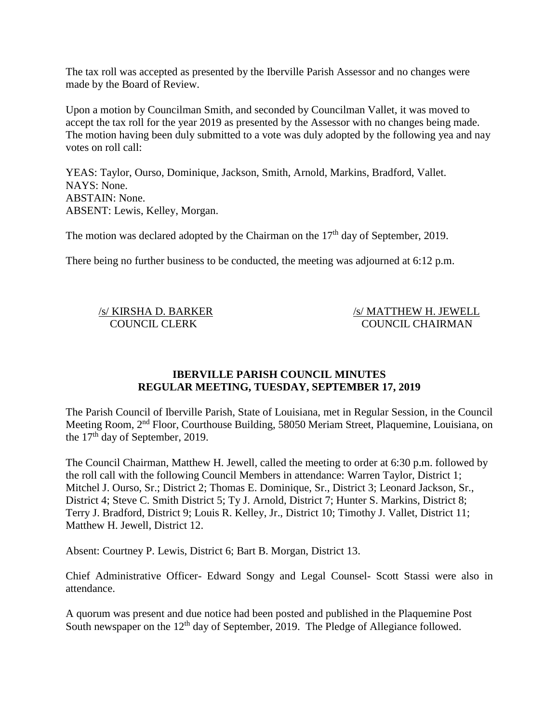The tax roll was accepted as presented by the Iberville Parish Assessor and no changes were made by the Board of Review.

Upon a motion by Councilman Smith, and seconded by Councilman Vallet, it was moved to accept the tax roll for the year 2019 as presented by the Assessor with no changes being made. The motion having been duly submitted to a vote was duly adopted by the following yea and nay votes on roll call:

YEAS: Taylor, Ourso, Dominique, Jackson, Smith, Arnold, Markins, Bradford, Vallet. NAYS: None. ABSTAIN: None. ABSENT: Lewis, Kelley, Morgan.

The motion was declared adopted by the Chairman on the 17<sup>th</sup> day of September, 2019.

There being no further business to be conducted, the meeting was adjourned at 6:12 p.m.

/s/ KIRSHA D. BARKER /s/ MATTHEW H. JEWELL COUNCIL CLERK COUNCIL CHAIRMAN

## **IBERVILLE PARISH COUNCIL MINUTES REGULAR MEETING, TUESDAY, SEPTEMBER 17, 2019**

The Parish Council of Iberville Parish, State of Louisiana, met in Regular Session, in the Council Meeting Room, 2nd Floor, Courthouse Building, 58050 Meriam Street, Plaquemine, Louisiana, on the  $17<sup>th</sup>$  day of September, 2019.

The Council Chairman, Matthew H. Jewell, called the meeting to order at 6:30 p.m. followed by the roll call with the following Council Members in attendance: Warren Taylor, District 1; Mitchel J. Ourso, Sr.; District 2; Thomas E. Dominique, Sr., District 3; Leonard Jackson, Sr., District 4; Steve C. Smith District 5; Ty J. Arnold, District 7; Hunter S. Markins, District 8; Terry J. Bradford, District 9; Louis R. Kelley, Jr., District 10; Timothy J. Vallet, District 11; Matthew H. Jewell, District 12.

Absent: Courtney P. Lewis, District 6; Bart B. Morgan, District 13.

Chief Administrative Officer- Edward Songy and Legal Counsel- Scott Stassi were also in attendance.

A quorum was present and due notice had been posted and published in the Plaquemine Post South newspaper on the 12<sup>th</sup> day of September, 2019. The Pledge of Allegiance followed.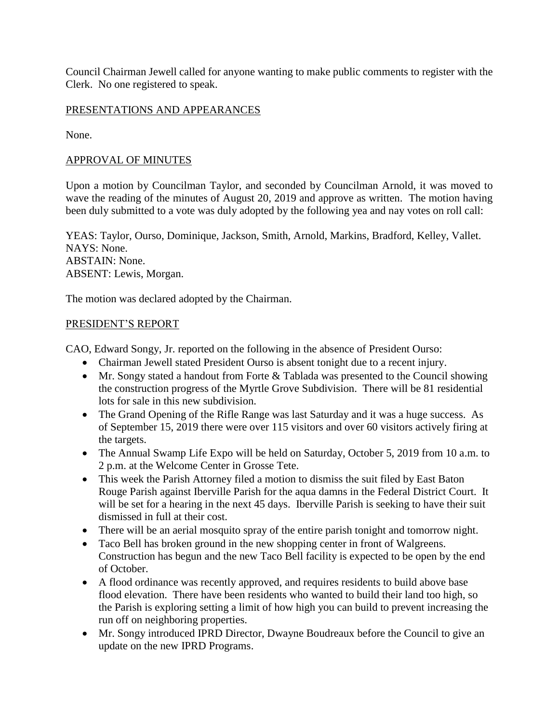Council Chairman Jewell called for anyone wanting to make public comments to register with the Clerk. No one registered to speak.

## PRESENTATIONS AND APPEARANCES

None.

## APPROVAL OF MINUTES

Upon a motion by Councilman Taylor, and seconded by Councilman Arnold, it was moved to wave the reading of the minutes of August 20, 2019 and approve as written. The motion having been duly submitted to a vote was duly adopted by the following yea and nay votes on roll call:

YEAS: Taylor, Ourso, Dominique, Jackson, Smith, Arnold, Markins, Bradford, Kelley, Vallet. NAYS: None. ABSTAIN: None. ABSENT: Lewis, Morgan.

The motion was declared adopted by the Chairman.

#### PRESIDENT'S REPORT

CAO, Edward Songy, Jr. reported on the following in the absence of President Ourso:

- Chairman Jewell stated President Ourso is absent tonight due to a recent injury.
- Mr. Songy stated a handout from Forte & Tablada was presented to the Council showing the construction progress of the Myrtle Grove Subdivision. There will be 81 residential lots for sale in this new subdivision.
- The Grand Opening of the Rifle Range was last Saturday and it was a huge success. As of September 15, 2019 there were over 115 visitors and over 60 visitors actively firing at the targets.
- The Annual Swamp Life Expo will be held on Saturday, October 5, 2019 from 10 a.m. to 2 p.m. at the Welcome Center in Grosse Tete.
- This week the Parish Attorney filed a motion to dismiss the suit filed by East Baton Rouge Parish against Iberville Parish for the aqua damns in the Federal District Court. It will be set for a hearing in the next 45 days. Iberville Parish is seeking to have their suit dismissed in full at their cost.
- There will be an aerial mosquito spray of the entire parish tonight and tomorrow night.
- Taco Bell has broken ground in the new shopping center in front of Walgreens. Construction has begun and the new Taco Bell facility is expected to be open by the end of October.
- A flood ordinance was recently approved, and requires residents to build above base flood elevation. There have been residents who wanted to build their land too high, so the Parish is exploring setting a limit of how high you can build to prevent increasing the run off on neighboring properties.
- Mr. Songy introduced IPRD Director, Dwayne Boudreaux before the Council to give an update on the new IPRD Programs.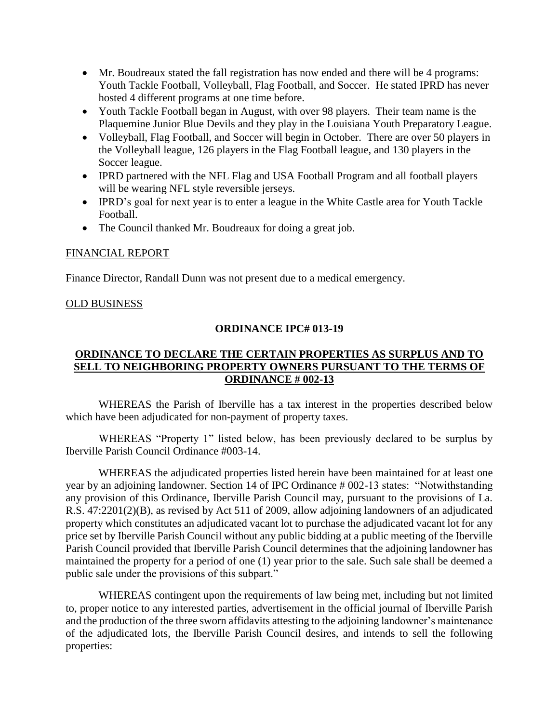- Mr. Boudreaux stated the fall registration has now ended and there will be 4 programs: Youth Tackle Football, Volleyball, Flag Football, and Soccer. He stated IPRD has never hosted 4 different programs at one time before.
- Youth Tackle Football began in August, with over 98 players. Their team name is the Plaquemine Junior Blue Devils and they play in the Louisiana Youth Preparatory League.
- Volleyball, Flag Football, and Soccer will begin in October. There are over 50 players in the Volleyball league, 126 players in the Flag Football league, and 130 players in the Soccer league.
- IPRD partnered with the NFL Flag and USA Football Program and all football players will be wearing NFL style reversible jerseys.
- IPRD's goal for next year is to enter a league in the White Castle area for Youth Tackle Football.
- The Council thanked Mr. Boudreaux for doing a great job.

## FINANCIAL REPORT

Finance Director, Randall Dunn was not present due to a medical emergency.

## OLD BUSINESS

## **ORDINANCE IPC# 013-19**

## **ORDINANCE TO DECLARE THE CERTAIN PROPERTIES AS SURPLUS AND TO SELL TO NEIGHBORING PROPERTY OWNERS PURSUANT TO THE TERMS OF ORDINANCE # 002-13**

WHEREAS the Parish of Iberville has a tax interest in the properties described below which have been adjudicated for non-payment of property taxes.

WHEREAS "Property 1" listed below, has been previously declared to be surplus by Iberville Parish Council Ordinance #003-14.

WHEREAS the adjudicated properties listed herein have been maintained for at least one year by an adjoining landowner. Section 14 of IPC Ordinance # 002-13 states: "Notwithstanding any provision of this Ordinance, Iberville Parish Council may, pursuant to the provisions of La. R.S. 47:2201(2)(B), as revised by Act 511 of 2009, allow adjoining landowners of an adjudicated property which constitutes an adjudicated vacant lot to purchase the adjudicated vacant lot for any price set by Iberville Parish Council without any public bidding at a public meeting of the Iberville Parish Council provided that Iberville Parish Council determines that the adjoining landowner has maintained the property for a period of one (1) year prior to the sale. Such sale shall be deemed a public sale under the provisions of this subpart."

WHEREAS contingent upon the requirements of law being met, including but not limited to, proper notice to any interested parties, advertisement in the official journal of Iberville Parish and the production of the three sworn affidavits attesting to the adjoining landowner's maintenance of the adjudicated lots, the Iberville Parish Council desires, and intends to sell the following properties: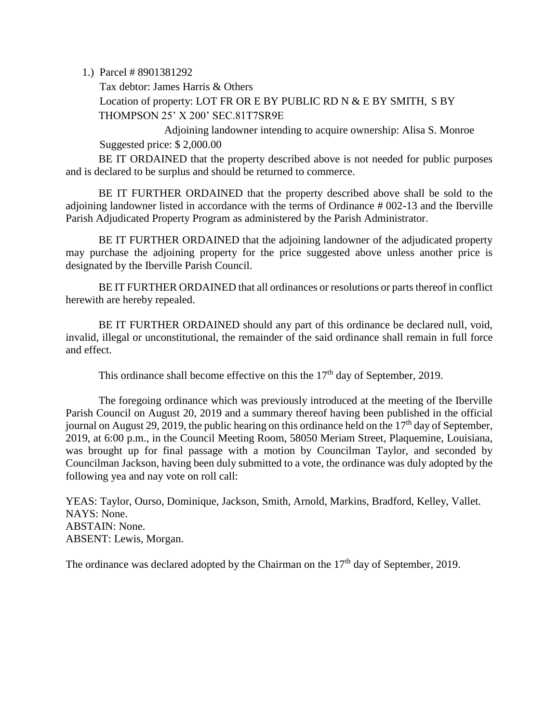1.) Parcel # 8901381292

Tax debtor: James Harris & Others Location of property: LOT FR OR E BY PUBLIC RD N & E BY SMITH, S BY THOMPSON 25' X 200' SEC.81T7SR9E

Adjoining landowner intending to acquire ownership: Alisa S. Monroe Suggested price: \$ 2,000.00

BE IT ORDAINED that the property described above is not needed for public purposes and is declared to be surplus and should be returned to commerce.

BE IT FURTHER ORDAINED that the property described above shall be sold to the adjoining landowner listed in accordance with the terms of Ordinance # 002-13 and the Iberville Parish Adjudicated Property Program as administered by the Parish Administrator.

BE IT FURTHER ORDAINED that the adjoining landowner of the adjudicated property may purchase the adjoining property for the price suggested above unless another price is designated by the Iberville Parish Council.

BE IT FURTHER ORDAINED that all ordinances or resolutions or parts thereof in conflict herewith are hereby repealed.

BE IT FURTHER ORDAINED should any part of this ordinance be declared null, void, invalid, illegal or unconstitutional, the remainder of the said ordinance shall remain in full force and effect.

This ordinance shall become effective on this the  $17<sup>th</sup>$  day of September, 2019.

The foregoing ordinance which was previously introduced at the meeting of the Iberville Parish Council on August 20, 2019 and a summary thereof having been published in the official journal on August 29, 2019, the public hearing on this ordinance held on the  $17<sup>th</sup>$  day of September, 2019, at 6:00 p.m., in the Council Meeting Room, 58050 Meriam Street, Plaquemine, Louisiana, was brought up for final passage with a motion by Councilman Taylor, and seconded by Councilman Jackson, having been duly submitted to a vote, the ordinance was duly adopted by the following yea and nay vote on roll call:

YEAS: Taylor, Ourso, Dominique, Jackson, Smith, Arnold, Markins, Bradford, Kelley, Vallet. NAYS: None. ABSTAIN: None. ABSENT: Lewis, Morgan.

The ordinance was declared adopted by the Chairman on the  $17<sup>th</sup>$  day of September, 2019.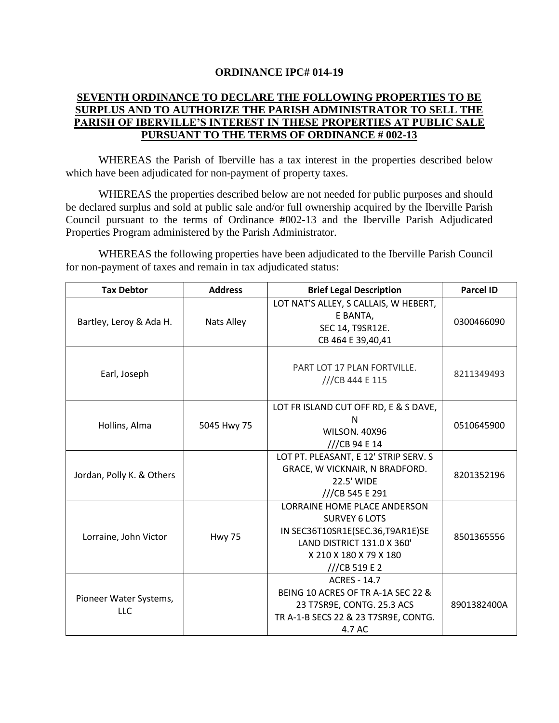#### **ORDINANCE IPC# 014-19**

## **SEVENTH ORDINANCE TO DECLARE THE FOLLOWING PROPERTIES TO BE SURPLUS AND TO AUTHORIZE THE PARISH ADMINISTRATOR TO SELL THE PARISH OF IBERVILLE'S INTEREST IN THESE PROPERTIES AT PUBLIC SALE PURSUANT TO THE TERMS OF ORDINANCE # 002-13**

WHEREAS the Parish of Iberville has a tax interest in the properties described below which have been adjudicated for non-payment of property taxes.

WHEREAS the properties described below are not needed for public purposes and should be declared surplus and sold at public sale and/or full ownership acquired by the Iberville Parish Council pursuant to the terms of Ordinance #002-13 and the Iberville Parish Adjudicated Properties Program administered by the Parish Administrator.

WHEREAS the following properties have been adjudicated to the Iberville Parish Council for non-payment of taxes and remain in tax adjudicated status:

| <b>Tax Debtor</b>             | <b>Address</b> | <b>Brief Legal Description</b>                                                                                                                                  | <b>Parcel ID</b> |
|-------------------------------|----------------|-----------------------------------------------------------------------------------------------------------------------------------------------------------------|------------------|
| Bartley, Leroy & Ada H.       | Nats Alley     | LOT NAT'S ALLEY, S CALLAIS, W HEBERT,<br>E BANTA,<br>SEC 14, T9SR12E.<br>CB 464 E 39,40,41                                                                      | 0300466090       |
| Earl, Joseph                  |                | PART LOT 17 PLAN FORTVILLE.<br>///CB 444 E 115                                                                                                                  | 8211349493       |
| Hollins, Alma                 | 5045 Hwy 75    | LOT FR ISLAND CUT OFF RD, E & S DAVE,<br>N<br><b>WILSON. 40X96</b><br>///CB 94 E 14                                                                             | 0510645900       |
| Jordan, Polly K. & Others     |                | LOT PT. PLEASANT, E 12' STRIP SERV. S<br>GRACE, W VICKNAIR, N BRADFORD.<br>22.5' WIDE<br>///CB 545 E 291                                                        | 8201352196       |
| Lorraine, John Victor         | <b>Hwy 75</b>  | LORRAINE HOME PLACE ANDERSON<br><b>SURVEY 6 LOTS</b><br>IN SEC36T10SR1E(SEC.36,T9AR1E)SE<br>LAND DISTRICT 131.0 X 360'<br>X 210 X 180 X 79 X 180<br>//CB 519 E2 | 8501365556       |
| Pioneer Water Systems,<br>LLC |                | <b>ACRES - 14.7</b><br>BEING 10 ACRES OF TR A-1A SEC 22 &<br>23 T7SR9E, CONTG. 25.3 ACS<br>TR A-1-B SECS 22 & 23 T7SR9E, CONTG.<br>4.7 AC                       | 8901382400A      |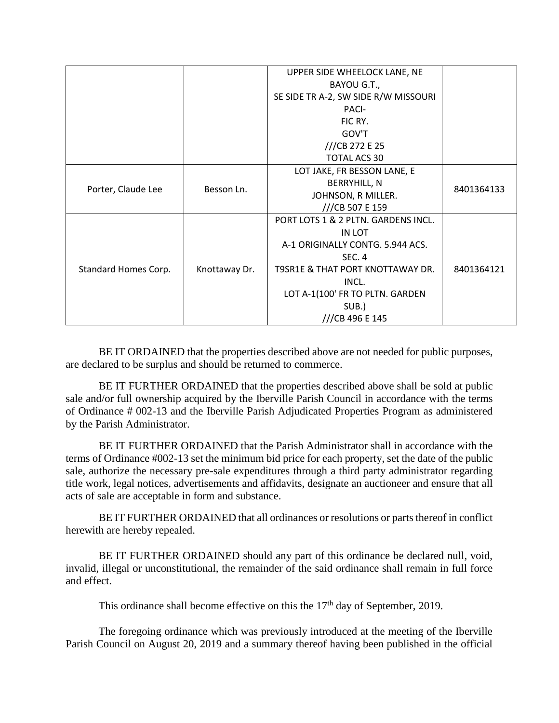|                      |               | UPPER SIDE WHEELOCK LANE, NE         |            |
|----------------------|---------------|--------------------------------------|------------|
|                      |               | BAYOU G.T.,                          |            |
|                      |               | SE SIDE TR A-2, SW SIDE R/W MISSOURI |            |
|                      |               | PACI-                                |            |
|                      |               | FIC RY.                              |            |
|                      |               | GOV'T                                |            |
|                      |               | ///CB 272 E 25                       |            |
|                      |               | <b>TOTAL ACS 30</b>                  |            |
| Porter, Claude Lee   | Besson Ln.    | LOT JAKE, FR BESSON LANE, E          |            |
|                      |               | <b>BERRYHILL, N</b>                  | 8401364133 |
|                      |               | JOHNSON, R MILLER.                   |            |
|                      |               | ///CB 507 E 159                      |            |
| Standard Homes Corp. | Knottaway Dr. | PORT LOTS 1 & 2 PLTN. GARDENS INCL.  |            |
|                      |               | IN LOT                               |            |
|                      |               | A-1 ORIGINALLY CONTG. 5.944 ACS.     |            |
|                      |               | <b>SEC. 4</b>                        |            |
|                      |               | T9SR1E & THAT PORT KNOTTAWAY DR.     | 8401364121 |
|                      |               | INCL.                                |            |
|                      |               | LOT A-1(100' FR TO PLTN. GARDEN      |            |
|                      |               | SUB.)                                |            |
|                      |               | ///CB 496 E 145                      |            |

BE IT ORDAINED that the properties described above are not needed for public purposes, are declared to be surplus and should be returned to commerce.

BE IT FURTHER ORDAINED that the properties described above shall be sold at public sale and/or full ownership acquired by the Iberville Parish Council in accordance with the terms of Ordinance # 002-13 and the Iberville Parish Adjudicated Properties Program as administered by the Parish Administrator.

BE IT FURTHER ORDAINED that the Parish Administrator shall in accordance with the terms of Ordinance #002-13 set the minimum bid price for each property, set the date of the public sale, authorize the necessary pre-sale expenditures through a third party administrator regarding title work, legal notices, advertisements and affidavits, designate an auctioneer and ensure that all acts of sale are acceptable in form and substance.

BE IT FURTHER ORDAINED that all ordinances or resolutions or parts thereof in conflict herewith are hereby repealed.

BE IT FURTHER ORDAINED should any part of this ordinance be declared null, void, invalid, illegal or unconstitutional, the remainder of the said ordinance shall remain in full force and effect.

This ordinance shall become effective on this the 17<sup>th</sup> day of September, 2019.

The foregoing ordinance which was previously introduced at the meeting of the Iberville Parish Council on August 20, 2019 and a summary thereof having been published in the official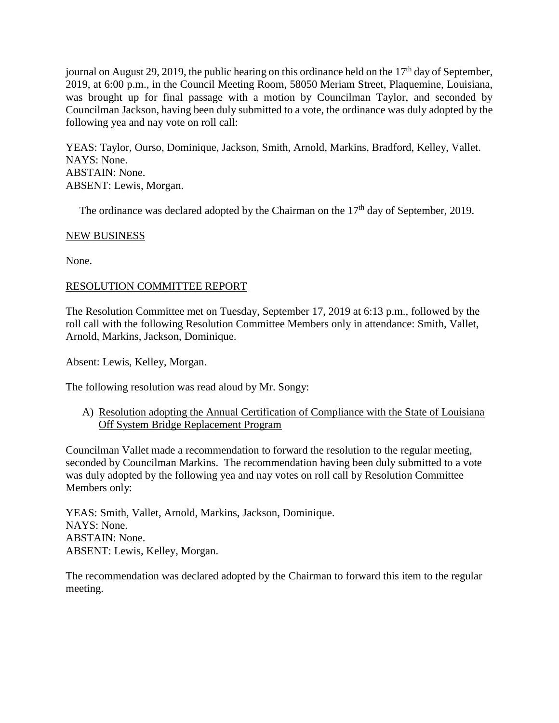journal on August 29, 2019, the public hearing on this ordinance held on the  $17<sup>th</sup>$  day of September, 2019, at 6:00 p.m., in the Council Meeting Room, 58050 Meriam Street, Plaquemine, Louisiana, was brought up for final passage with a motion by Councilman Taylor, and seconded by Councilman Jackson, having been duly submitted to a vote, the ordinance was duly adopted by the following yea and nay vote on roll call:

YEAS: Taylor, Ourso, Dominique, Jackson, Smith, Arnold, Markins, Bradford, Kelley, Vallet. NAYS: None. ABSTAIN: None. ABSENT: Lewis, Morgan.

The ordinance was declared adopted by the Chairman on the  $17<sup>th</sup>$  day of September, 2019.

## NEW BUSINESS

None.

# RESOLUTION COMMITTEE REPORT

The Resolution Committee met on Tuesday, September 17, 2019 at 6:13 p.m., followed by the roll call with the following Resolution Committee Members only in attendance: Smith, Vallet, Arnold, Markins, Jackson, Dominique.

Absent: Lewis, Kelley, Morgan.

The following resolution was read aloud by Mr. Songy:

A) Resolution adopting the Annual Certification of Compliance with the State of Louisiana Off System Bridge Replacement Program

Councilman Vallet made a recommendation to forward the resolution to the regular meeting, seconded by Councilman Markins. The recommendation having been duly submitted to a vote was duly adopted by the following yea and nay votes on roll call by Resolution Committee Members only:

YEAS: Smith, Vallet, Arnold, Markins, Jackson, Dominique. NAYS: None. ABSTAIN: None. ABSENT: Lewis, Kelley, Morgan.

The recommendation was declared adopted by the Chairman to forward this item to the regular meeting.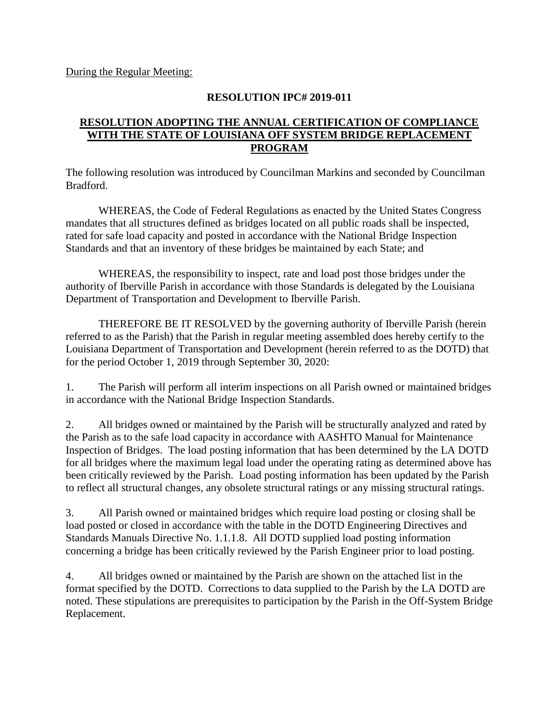During the Regular Meeting:

#### **RESOLUTION IPC# 2019-011**

## **RESOLUTION ADOPTING THE ANNUAL CERTIFICATION OF COMPLIANCE WITH THE STATE OF LOUISIANA OFF SYSTEM BRIDGE REPLACEMENT PROGRAM**

The following resolution was introduced by Councilman Markins and seconded by Councilman Bradford.

WHEREAS, the Code of Federal Regulations as enacted by the United States Congress mandates that all structures defined as bridges located on all public roads shall be inspected, rated for safe load capacity and posted in accordance with the National Bridge Inspection Standards and that an inventory of these bridges be maintained by each State; and

WHEREAS, the responsibility to inspect, rate and load post those bridges under the authority of Iberville Parish in accordance with those Standards is delegated by the Louisiana Department of Transportation and Development to Iberville Parish.

THEREFORE BE IT RESOLVED by the governing authority of Iberville Parish (herein referred to as the Parish) that the Parish in regular meeting assembled does hereby certify to the Louisiana Department of Transportation and Development (herein referred to as the DOTD) that for the period October 1, 2019 through September 30, 2020:

1. The Parish will perform all interim inspections on all Parish owned or maintained bridges in accordance with the National Bridge Inspection Standards.

2. All bridges owned or maintained by the Parish will be structurally analyzed and rated by the Parish as to the safe load capacity in accordance with AASHTO Manual for Maintenance Inspection of Bridges. The load posting information that has been determined by the LA DOTD for all bridges where the maximum legal load under the operating rating as determined above has been critically reviewed by the Parish. Load posting information has been updated by the Parish to reflect all structural changes, any obsolete structural ratings or any missing structural ratings.

3. All Parish owned or maintained bridges which require load posting or closing shall be load posted or closed in accordance with the table in the DOTD Engineering Directives and Standards Manuals Directive No. 1.1.1.8. All DOTD supplied load posting information concerning a bridge has been critically reviewed by the Parish Engineer prior to load posting.

4. All bridges owned or maintained by the Parish are shown on the attached list in the format specified by the DOTD. Corrections to data supplied to the Parish by the LA DOTD are noted. These stipulations are prerequisites to participation by the Parish in the Off-System Bridge Replacement.